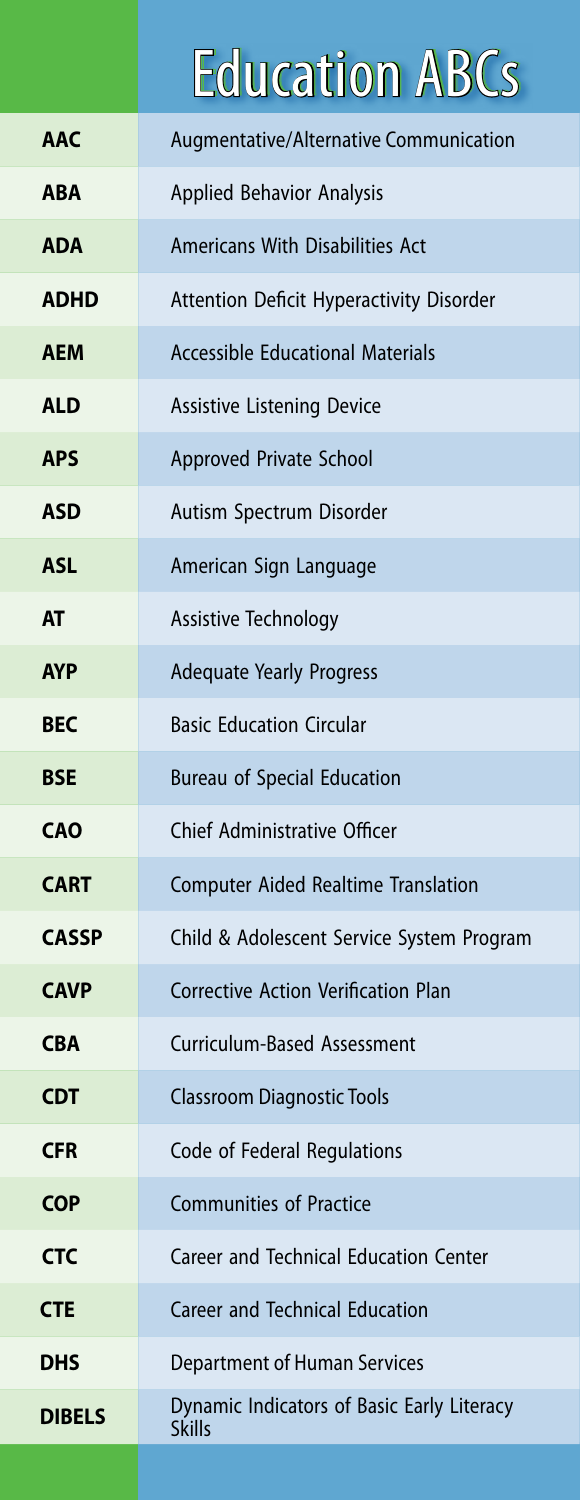## **Education ABCs**

| <b>AAC</b>    | Augmentative/Alternative Communication                      |
|---------------|-------------------------------------------------------------|
| <b>ABA</b>    | <b>Applied Behavior Analysis</b>                            |
| <b>ADA</b>    | Americans With Disabilities Act                             |
| <b>ADHD</b>   | <b>Attention Deficit Hyperactivity Disorder</b>             |
| <b>AEM</b>    | <b>Accessible Educational Materials</b>                     |
| <b>ALD</b>    | <b>Assistive Listening Device</b>                           |
| <b>APS</b>    | Approved Private School                                     |
| <b>ASD</b>    | Autism Spectrum Disorder                                    |
| <b>ASL</b>    | American Sign Language                                      |
| <b>AT</b>     | Assistive Technology                                        |
| <b>AYP</b>    | <b>Adequate Yearly Progress</b>                             |
| <b>BEC</b>    | <b>Basic Education Circular</b>                             |
| <b>BSE</b>    | <b>Bureau of Special Education</b>                          |
| <b>CAO</b>    | Chief Administrative Officer                                |
| <b>CART</b>   | <b>Computer Aided Realtime Translation</b>                  |
| <b>CASSP</b>  | Child & Adolescent Service System Program                   |
| <b>CAVP</b>   | <b>Corrective Action Verification Plan</b>                  |
| <b>CBA</b>    | Curriculum-Based Assessment                                 |
| <b>CDT</b>    | <b>Classroom Diagnostic Tools</b>                           |
| <b>CFR</b>    | Code of Federal Regulations                                 |
| <b>COP</b>    | <b>Communities of Practice</b>                              |
| <b>CTC</b>    | Career and Technical Education Center                       |
| <b>CTE</b>    | <b>Career and Technical Education</b>                       |
| DHS           | Department of Human Services                                |
| <b>DIBELS</b> | Dynamic Indicators of Basic Early Literacy<br><b>Skills</b> |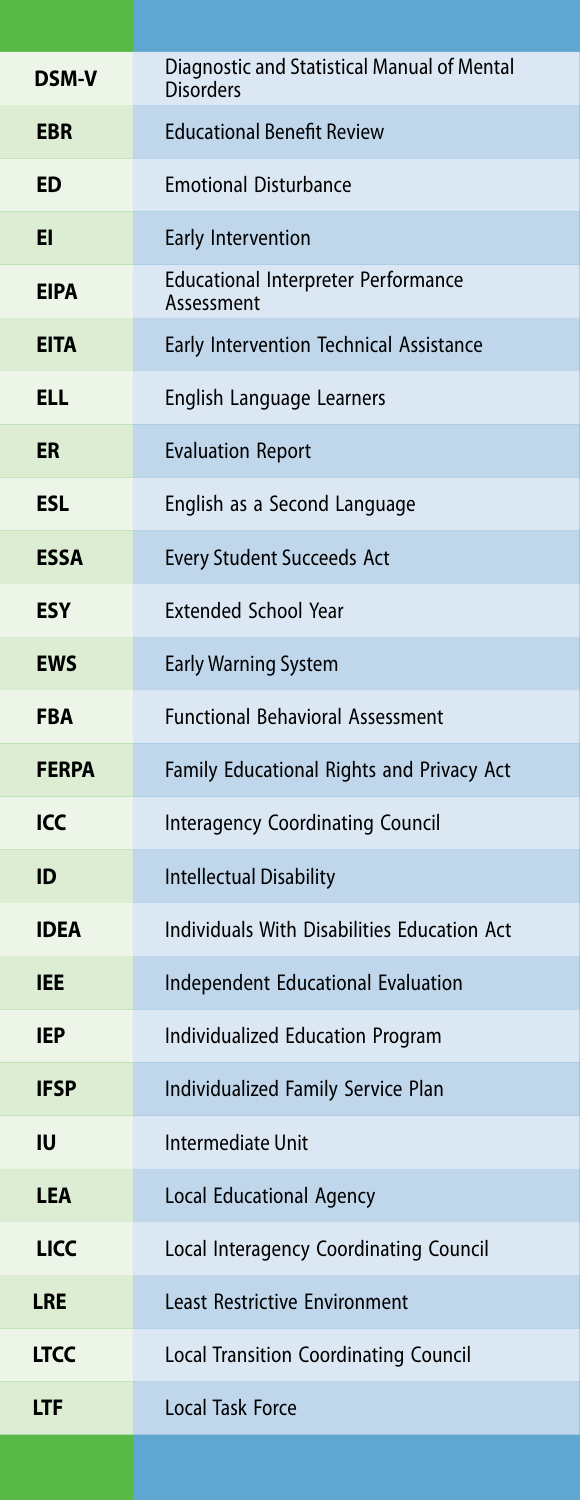| <b>DSM-V</b> | Diagnostic and Statistical Manual of Mental<br><b>Disorders</b> |
|--------------|-----------------------------------------------------------------|
| <b>EBR</b>   | <b>Educational Benefit Review</b>                               |
| ED           | <b>Emotional Disturbance</b>                                    |
| EI           | Early Intervention                                              |
| <b>EIPA</b>  | <b>Educational Interpreter Performance</b><br>Assessment        |
| <b>EITA</b>  | Early Intervention Technical Assistance                         |
| <b>ELL</b>   | English Language Learners                                       |
| ER           | <b>Evaluation Report</b>                                        |
| <b>ESL</b>   | English as a Second Language                                    |
| <b>ESSA</b>  | <b>Every Student Succeeds Act</b>                               |
| <b>ESY</b>   | <b>Extended School Year</b>                                     |
| <b>EWS</b>   | <b>Early Warning System</b>                                     |
| <b>FBA</b>   | <b>Functional Behavioral Assessment</b>                         |
| <b>FERPA</b> | Family Educational Rights and Privacy Act                       |
| ICC          | <b>Interagency Coordinating Council</b>                         |
| ID           | <b>Intellectual Disability</b>                                  |
| <b>IDEA</b>  | Individuals With Disabilities Education Act                     |
| <b>IEE</b>   | <b>Independent Educational Evaluation</b>                       |
| <b>IEP</b>   | <b>Individualized Education Program</b>                         |
| IFSP         | Individualized Family Service Plan                              |
| IU           | Intermediate Unit                                               |
| <b>LEA</b>   | Local Educational Agency                                        |
| <b>LICC</b>  | Local Interagency Coordinating Council                          |
| <b>LRE</b>   | <b>Least Restrictive Environment</b>                            |
| <b>LTCC</b>  | <b>Local Transition Coordinating Council</b>                    |
| <b>LTF</b>   | <b>Local Task Force</b>                                         |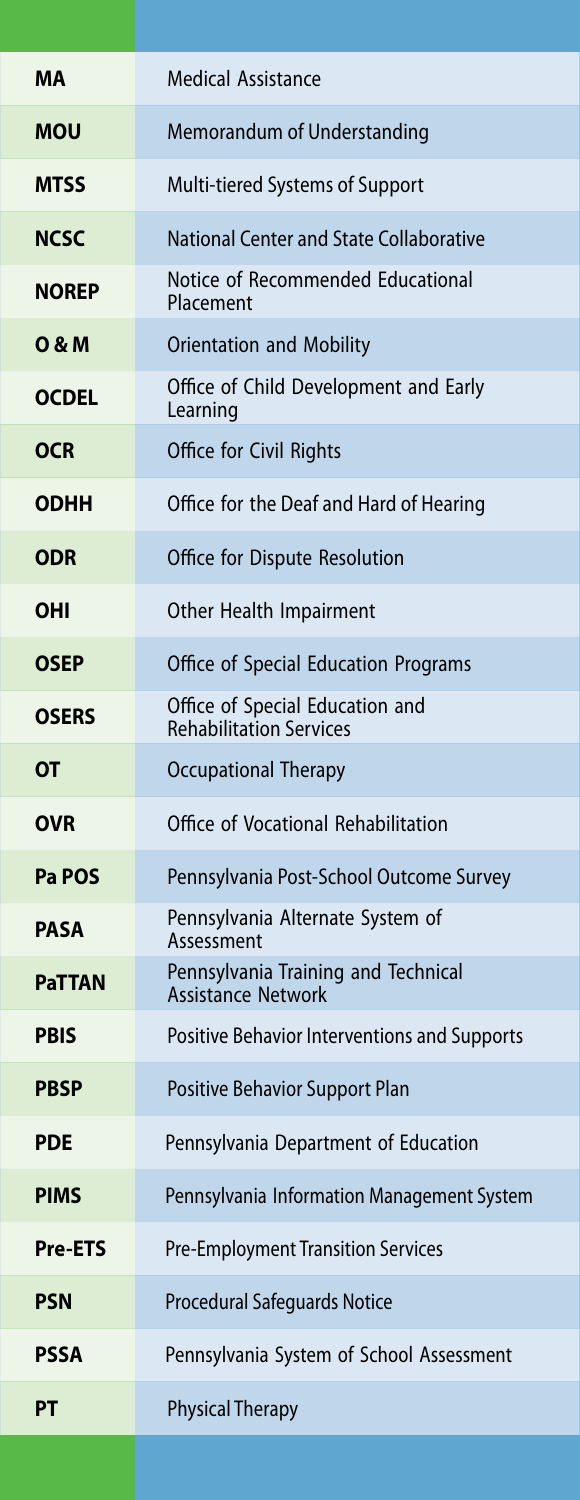| <b>MA</b>        | <b>Medical Assistance</b>                                         |
|------------------|-------------------------------------------------------------------|
| <b>MOU</b>       | Memorandum of Understanding                                       |
| <b>MTSS</b>      | Multi-tiered Systems of Support                                   |
| <b>NCSC</b>      | National Center and State Collaborative                           |
| <b>NOREP</b>     | Notice of Recommended Educational<br>Placement                    |
| <b>O &amp; M</b> | <b>Orientation and Mobility</b>                                   |
| <b>OCDEL</b>     | Office of Child Development and Early<br>Learning                 |
| <b>OCR</b>       | Office for Civil Rights                                           |
| <b>ODHH</b>      | Office for the Deaf and Hard of Hearing                           |
| <b>ODR</b>       | Office for Dispute Resolution                                     |
| <b>OHI</b>       | Other Health Impairment                                           |
| <b>OSEP</b>      | Office of Special Education Programs                              |
| <b>OSERS</b>     | Office of Special Education and<br><b>Rehabilitation Services</b> |
| <b>OT</b>        | <b>Occupational Therapy</b>                                       |
| <b>OVR</b>       | Office of Vocational Rehabilitation                               |
| Pa POS           | Pennsylvania Post-School Outcome Survey                           |
| <b>PASA</b>      | Pennsylvania Alternate System of<br>Assessment                    |
| <b>PaTTAN</b>    | Pennsylvania Training and Technical<br><b>Assistance Network</b>  |
| <b>PBIS</b>      | <b>Positive Behavior Interventions and Supports</b>               |
| <b>PBSP</b>      | <b>Positive Behavior Support Plan</b>                             |
| <b>PDE</b>       | Pennsylvania Department of Education                              |
| <b>PIMS</b>      | Pennsylvania Information Management System                        |
| <b>Pre-ETS</b>   | <b>Pre-Employment Transition Services</b>                         |
| <b>PSN</b>       | <b>Procedural Safeguards Notice</b>                               |
| <b>PSSA</b>      | Pennsylvania System of School Assessment                          |
| <b>PT</b>        | <b>Physical Therapy</b>                                           |